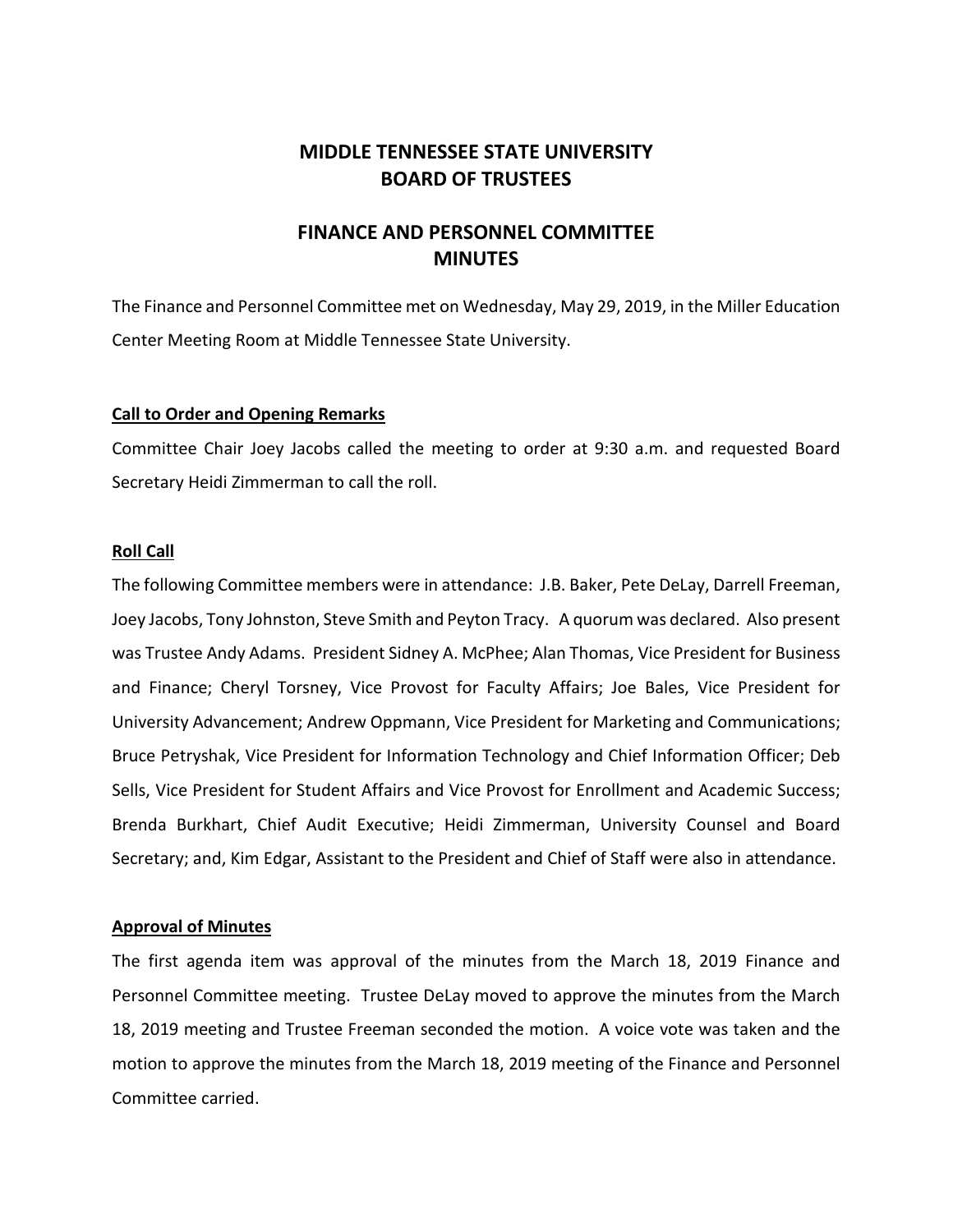# **MIDDLE TENNESSEE STATE UNIVERSITY BOARD OF TRUSTEES**

# **FINANCE AND PERSONNEL COMMITTEE MINUTES**

The Finance and Personnel Committee met on Wednesday, May 29, 2019, in the Miller Education Center Meeting Room at Middle Tennessee State University.

## **Call to Order and Opening Remarks**

Committee Chair Joey Jacobs called the meeting to order at 9:30 a.m. and requested Board Secretary Heidi Zimmerman to call the roll.

## **Roll Call**

The following Committee members were in attendance: J.B. Baker, Pete DeLay, Darrell Freeman, Joey Jacobs, Tony Johnston, Steve Smith and Peyton Tracy. A quorum was declared. Also present was Trustee Andy Adams. President Sidney A. McPhee; Alan Thomas, Vice President for Business and Finance; Cheryl Torsney, Vice Provost for Faculty Affairs; Joe Bales, Vice President for University Advancement; Andrew Oppmann, Vice President for Marketing and Communications; Bruce Petryshak, Vice President for Information Technology and Chief Information Officer; Deb Sells, Vice President for Student Affairs and Vice Provost for Enrollment and Academic Success; Brenda Burkhart, Chief Audit Executive; Heidi Zimmerman, University Counsel and Board Secretary; and, Kim Edgar, Assistant to the President and Chief of Staff were also in attendance.

## **Approval of Minutes**

The first agenda item was approval of the minutes from the March 18, 2019 Finance and Personnel Committee meeting. Trustee DeLay moved to approve the minutes from the March 18, 2019 meeting and Trustee Freeman seconded the motion. A voice vote was taken and the motion to approve the minutes from the March 18, 2019 meeting of the Finance and Personnel Committee carried.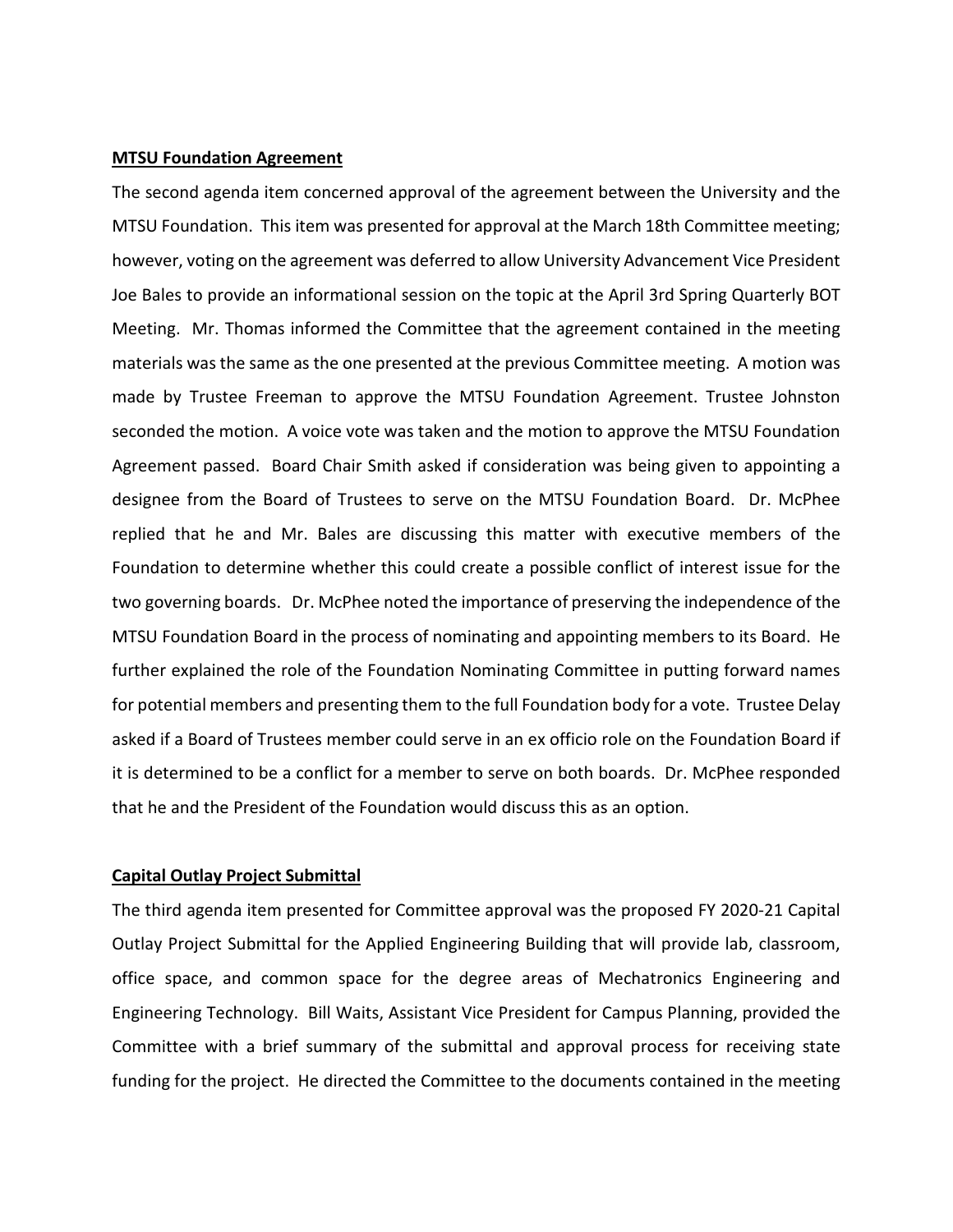### **MTSU Foundation Agreement**

The second agenda item concerned approval of the agreement between the University and the MTSU Foundation. This item was presented for approval at the March 18th Committee meeting; however, voting on the agreement was deferred to allow University Advancement Vice President Joe Bales to provide an informational session on the topic at the April 3rd Spring Quarterly BOT Meeting. Mr. Thomas informed the Committee that the agreement contained in the meeting materials was the same as the one presented at the previous Committee meeting. A motion was made by Trustee Freeman to approve the MTSU Foundation Agreement. Trustee Johnston seconded the motion. A voice vote was taken and the motion to approve the MTSU Foundation Agreement passed. Board Chair Smith asked if consideration was being given to appointing a designee from the Board of Trustees to serve on the MTSU Foundation Board. Dr. McPhee replied that he and Mr. Bales are discussing this matter with executive members of the Foundation to determine whether this could create a possible conflict of interest issue for the two governing boards. Dr. McPhee noted the importance of preserving the independence of the MTSU Foundation Board in the process of nominating and appointing members to its Board. He further explained the role of the Foundation Nominating Committee in putting forward names for potential members and presenting them to the full Foundation body for a vote. Trustee Delay asked if a Board of Trustees member could serve in an ex officio role on the Foundation Board if it is determined to be a conflict for a member to serve on both boards. Dr. McPhee responded that he and the President of the Foundation would discuss this as an option.

#### **Capital Outlay Project Submittal**

The third agenda item presented for Committee approval was the proposed FY 2020-21 Capital Outlay Project Submittal for the Applied Engineering Building that will provide lab, classroom, office space, and common space for the degree areas of Mechatronics Engineering and Engineering Technology. Bill Waits, Assistant Vice President for Campus Planning, provided the Committee with a brief summary of the submittal and approval process for receiving state funding for the project. He directed the Committee to the documents contained in the meeting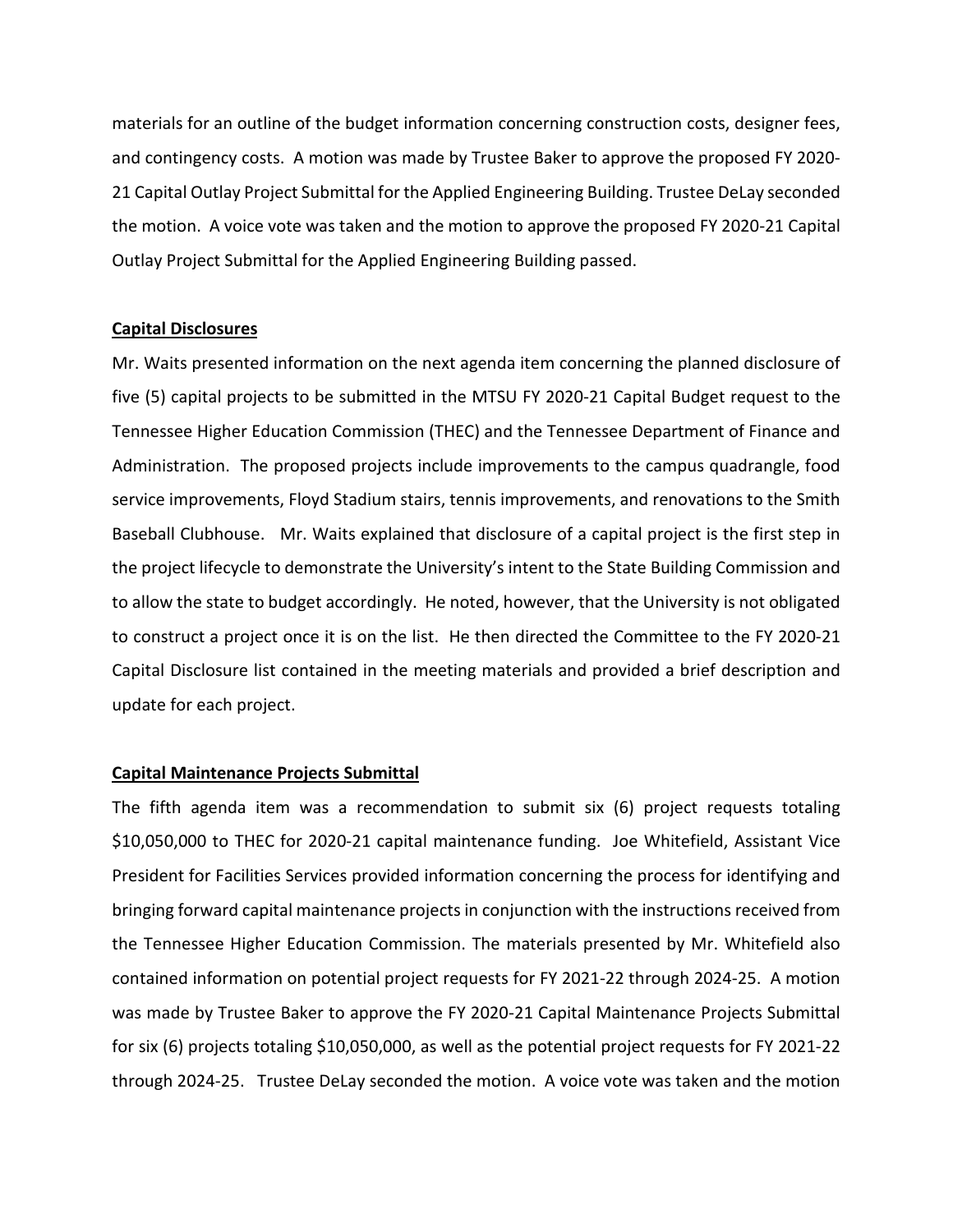materials for an outline of the budget information concerning construction costs, designer fees, and contingency costs. A motion was made by Trustee Baker to approve the proposed FY 2020- 21 Capital Outlay Project Submittal for the Applied Engineering Building. Trustee DeLay seconded the motion. A voice vote was taken and the motion to approve the proposed FY 2020-21 Capital Outlay Project Submittal for the Applied Engineering Building passed.

## **Capital Disclosures**

Mr. Waits presented information on the next agenda item concerning the planned disclosure of five (5) capital projects to be submitted in the MTSU FY 2020-21 Capital Budget request to the Tennessee Higher Education Commission (THEC) and the Tennessee Department of Finance and Administration. The proposed projects include improvements to the campus quadrangle, food service improvements, Floyd Stadium stairs, tennis improvements, and renovations to the Smith Baseball Clubhouse. Mr. Waits explained that disclosure of a capital project is the first step in the project lifecycle to demonstrate the University's intent to the State Building Commission and to allow the state to budget accordingly. He noted, however, that the University is not obligated to construct a project once it is on the list. He then directed the Committee to the FY 2020-21 Capital Disclosure list contained in the meeting materials and provided a brief description and update for each project.

## **Capital Maintenance Projects Submittal**

The fifth agenda item was a recommendation to submit six (6) project requests totaling \$10,050,000 to THEC for 2020-21 capital maintenance funding. Joe Whitefield, Assistant Vice President for Facilities Services provided information concerning the process for identifying and bringing forward capital maintenance projects in conjunction with the instructions received from the Tennessee Higher Education Commission. The materials presented by Mr. Whitefield also contained information on potential project requests for FY 2021-22 through 2024-25. A motion was made by Trustee Baker to approve the FY 2020-21 Capital Maintenance Projects Submittal for six (6) projects totaling \$10,050,000, as well as the potential project requests for FY 2021-22 through 2024-25. Trustee DeLay seconded the motion. A voice vote was taken and the motion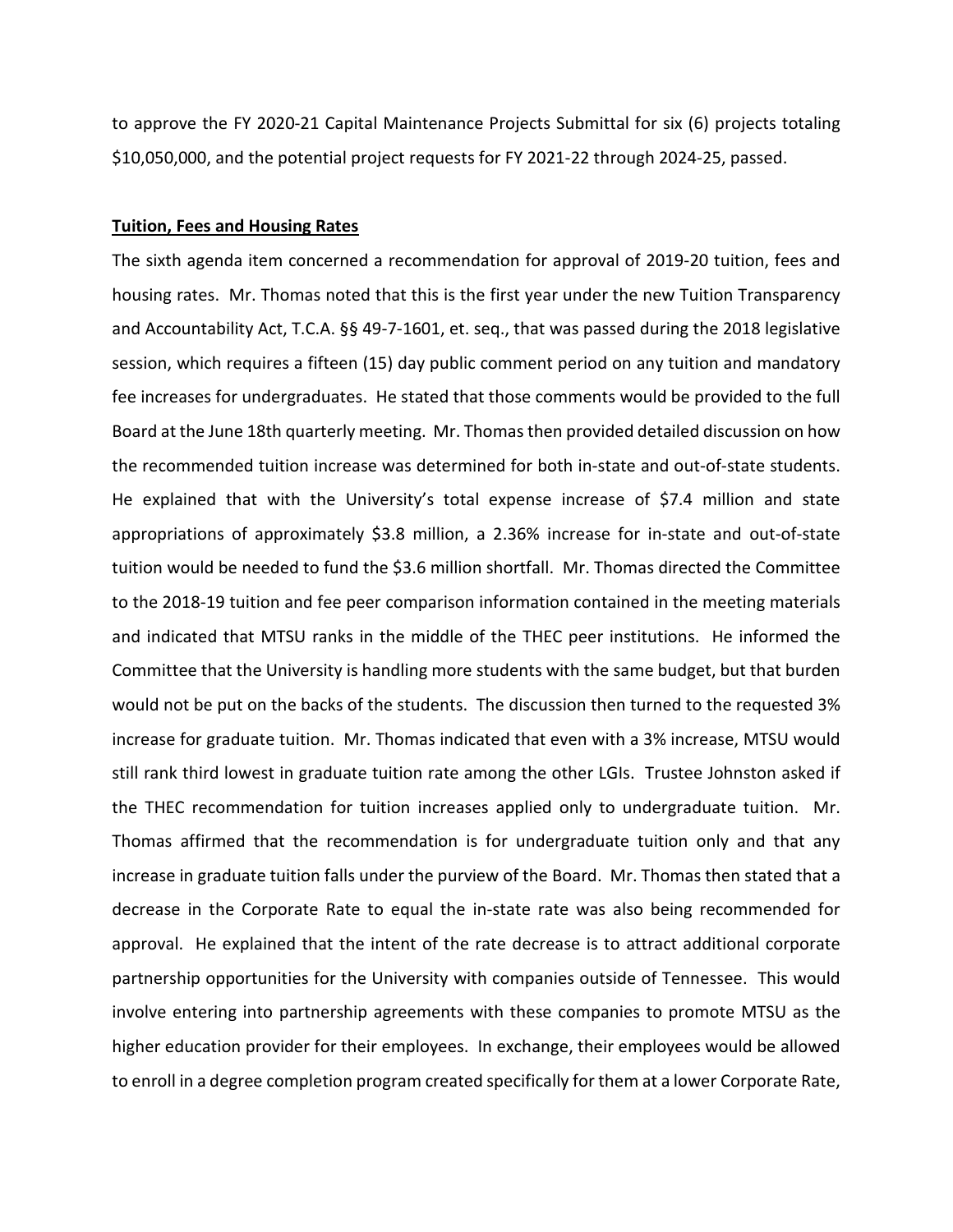to approve the FY 2020-21 Capital Maintenance Projects Submittal for six (6) projects totaling \$10,050,000, and the potential project requests for FY 2021-22 through 2024-25, passed.

#### **Tuition, Fees and Housing Rates**

The sixth agenda item concerned a recommendation for approval of 2019-20 tuition, fees and housing rates. Mr. Thomas noted that this is the first year under the new Tuition Transparency and Accountability Act, T.C.A. §§ 49-7-1601, et. seq., that was passed during the 2018 legislative session, which requires a fifteen (15) day public comment period on any tuition and mandatory fee increases for undergraduates. He stated that those comments would be provided to the full Board at the June 18th quarterly meeting. Mr. Thomas then provided detailed discussion on how the recommended tuition increase was determined for both in-state and out-of-state students. He explained that with the University's total expense increase of \$7.4 million and state appropriations of approximately \$3.8 million, a 2.36% increase for in-state and out-of-state tuition would be needed to fund the \$3.6 million shortfall. Mr. Thomas directed the Committee to the 2018-19 tuition and fee peer comparison information contained in the meeting materials and indicated that MTSU ranks in the middle of the THEC peer institutions. He informed the Committee that the University is handling more students with the same budget, but that burden would not be put on the backs of the students. The discussion then turned to the requested 3% increase for graduate tuition. Mr. Thomas indicated that even with a 3% increase, MTSU would still rank third lowest in graduate tuition rate among the other LGIs. Trustee Johnston asked if the THEC recommendation for tuition increases applied only to undergraduate tuition. Mr. Thomas affirmed that the recommendation is for undergraduate tuition only and that any increase in graduate tuition falls under the purview of the Board. Mr. Thomas then stated that a decrease in the Corporate Rate to equal the in-state rate was also being recommended for approval. He explained that the intent of the rate decrease is to attract additional corporate partnership opportunities for the University with companies outside of Tennessee. This would involve entering into partnership agreements with these companies to promote MTSU as the higher education provider for their employees. In exchange, their employees would be allowed to enroll in a degree completion program created specifically for them at a lower Corporate Rate,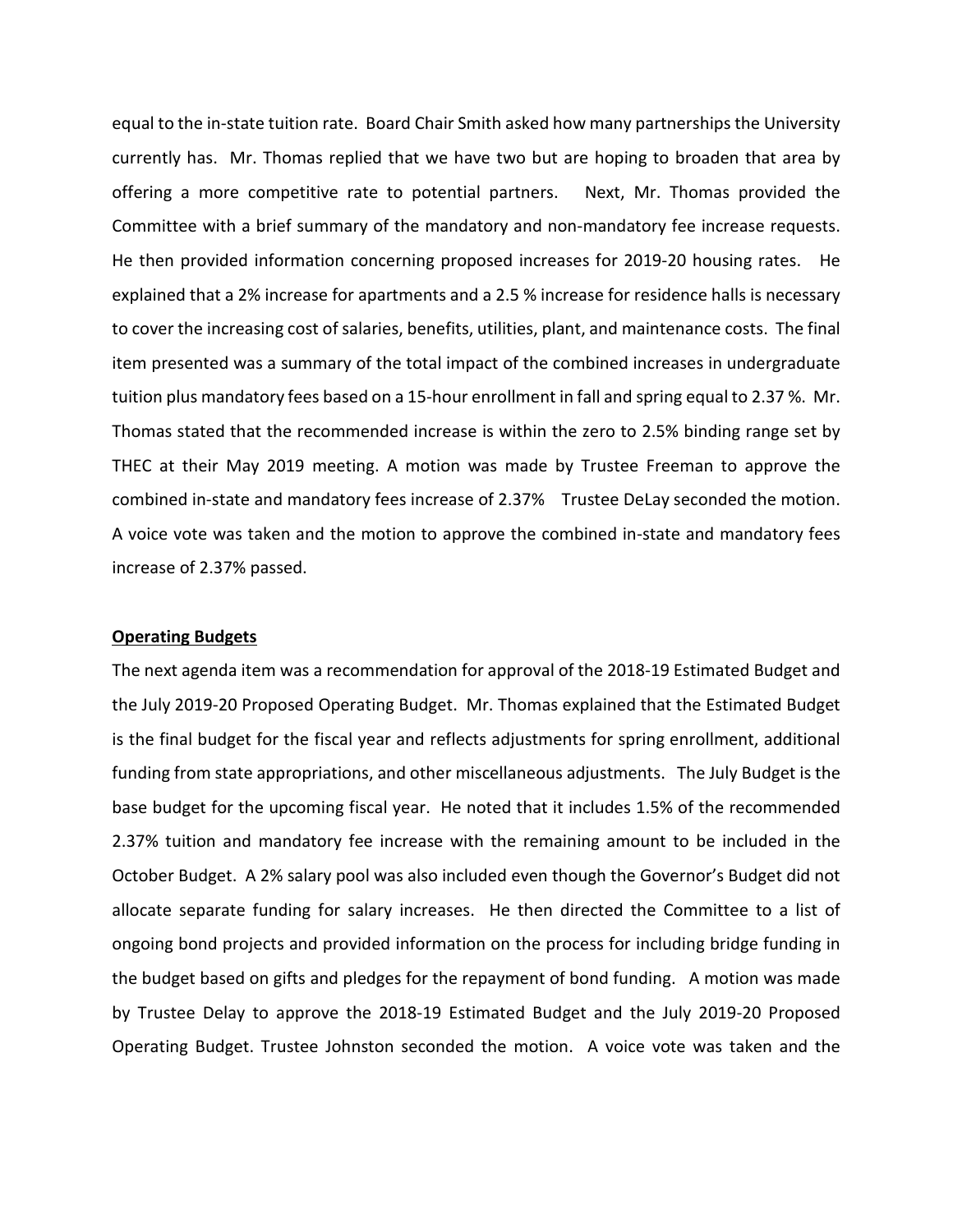equal to the in-state tuition rate. Board Chair Smith asked how many partnerships the University currently has. Mr. Thomas replied that we have two but are hoping to broaden that area by offering a more competitive rate to potential partners. Next, Mr. Thomas provided the Committee with a brief summary of the mandatory and non-mandatory fee increase requests. He then provided information concerning proposed increases for 2019-20 housing rates. He explained that a 2% increase for apartments and a 2.5 % increase for residence halls is necessary to cover the increasing cost of salaries, benefits, utilities, plant, and maintenance costs. The final item presented was a summary of the total impact of the combined increases in undergraduate tuition plus mandatory fees based on a 15-hour enrollment in fall and spring equal to 2.37 %. Mr. Thomas stated that the recommended increase is within the zero to 2.5% binding range set by THEC at their May 2019 meeting. A motion was made by Trustee Freeman to approve the combined in-state and mandatory fees increase of 2.37% Trustee DeLay seconded the motion. A voice vote was taken and the motion to approve the combined in-state and mandatory fees increase of 2.37% passed.

#### **Operating Budgets**

The next agenda item was a recommendation for approval of the 2018-19 Estimated Budget and the July 2019-20 Proposed Operating Budget. Mr. Thomas explained that the Estimated Budget is the final budget for the fiscal year and reflects adjustments for spring enrollment, additional funding from state appropriations, and other miscellaneous adjustments. The July Budget is the base budget for the upcoming fiscal year. He noted that it includes 1.5% of the recommended 2.37% tuition and mandatory fee increase with the remaining amount to be included in the October Budget. A 2% salary pool was also included even though the Governor's Budget did not allocate separate funding for salary increases. He then directed the Committee to a list of ongoing bond projects and provided information on the process for including bridge funding in the budget based on gifts and pledges for the repayment of bond funding. A motion was made by Trustee Delay to approve the 2018-19 Estimated Budget and the July 2019-20 Proposed Operating Budget. Trustee Johnston seconded the motion. A voice vote was taken and the